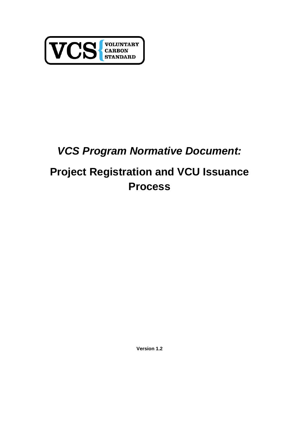

## *VCS Program Normative Document:*

# **Project Registration and VCU Issuance Process**

**Version 1.2**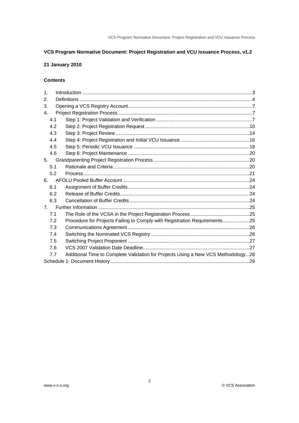## **VCS Program Normative Document: Project Registration and VCU Issuance Process, v1.2**

## **21 January 2010**

## **Contents**

| 1.             |                                                                                   |  |  |
|----------------|-----------------------------------------------------------------------------------|--|--|
| 2.             |                                                                                   |  |  |
| 3.             |                                                                                   |  |  |
| 4.             |                                                                                   |  |  |
| 4.1            |                                                                                   |  |  |
| 4.2            |                                                                                   |  |  |
| 4.3            |                                                                                   |  |  |
| 4.4            |                                                                                   |  |  |
| 4.5            |                                                                                   |  |  |
| 4.6            |                                                                                   |  |  |
| 5.             |                                                                                   |  |  |
| 5.1            |                                                                                   |  |  |
| 5.2            |                                                                                   |  |  |
| 6.             |                                                                                   |  |  |
| 6.1            |                                                                                   |  |  |
| 6.2            |                                                                                   |  |  |
| 6.3            |                                                                                   |  |  |
| 7 <sub>1</sub> |                                                                                   |  |  |
| 7.1            |                                                                                   |  |  |
| 7.2            | Procedure for Projects Failing to Comply with Registration Requirements25         |  |  |
| 7.3            |                                                                                   |  |  |
| 7.4            |                                                                                   |  |  |
| 7.5            |                                                                                   |  |  |
| 7.6            |                                                                                   |  |  |
| 7.7            | Additional Time to Complete Validation for Projects Using a New VCS Methodology28 |  |  |
|                |                                                                                   |  |  |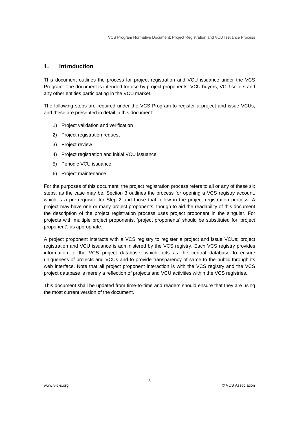## **1. Introduction**

This document outlines the process for project registration and VCU issuance under the VCS Program. The document is intended for use by project proponents, VCU buyers, VCU sellers and any other entities participating in the VCU market.

The following steps are required under the VCS Program to register a project and issue VCUs, and these are presented in detail in this document:

- 1) Project validation and verification
- 2) Project registration request
- 3) Project review
- 4) Project registration and initial VCU issuance
- 5) Periodic VCU issuance
- 6) Project maintenance

For the purposes of this document, the project registration process refers to all or any of these six steps, as the case may be. Section 3 outlines the process for opening a VCS registry account, which is a pre-requisite for Step 2 and those that follow in the project registration process. A project may have one or many project proponents, though to aid the readability of this document the description of the project registration process uses project proponent in the singular. For projects with multiple project proponents, 'project proponents' should be substituted for 'project proponent', as appropriate.

A project proponent interacts with a VCS registry to register a project and issue VCUs; project registration and VCU issuance is administered by the VCS registry. Each VCS registry provides information to the VCS project database, which acts as the central database to ensure uniqueness of projects and VCUs and to provide transparency of same to the public through its web interface. Note that all project proponent interaction is with the VCS registry and the VCS project database is merely a reflection of projects and VCU activities within the VCS registries.

This document shall be updated from time-to-time and readers should ensure that they are using the most current version of the document.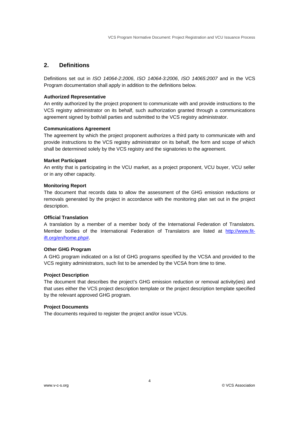## **2. Definitions**

Definitions set out in *ISO 14064-2:2006*, *ISO 14064-3:2006*, *ISO 14065:2007* and in the VCS Program documentation shall apply in addition to the definitions below.

## **Authorized Representative**

An entity authorized by the project proponent to communicate with and provide instructions to the VCS registry administrator on its behalf, such authorization granted through a communications agreement signed by both/all parties and submitted to the VCS registry administrator.

## **Communications Agreement**

The agreement by which the project proponent authorizes a third party to communicate with and provide instructions to the VCS registry administrator on its behalf, the form and scope of which shall be determined solely by the VCS registry and the signatories to the agreement.

#### **Market Participant**

An entity that is participating in the VCU market, as a project proponent, VCU buyer, VCU seller or in any other capacity.

#### **Monitoring Report**

The document that records data to allow the assessment of the GHG emission reductions or removals generated by the project in accordance with the monitoring plan set out in the project description.

## **Official Translation**

A translation by a member of a member body of the International Federation of Translators. Member bodies of the International Federation of Translators are listed at http://www.fitift.org/en/home.php#.

## **Other GHG Program**

A GHG program indicated on a list of GHG programs specified by the VCSA and provided to the VCS registry administrators, such list to be amended by the VCSA from time to time.

## **Project Description**

The document that describes the project's GHG emission reduction or removal activity(ies) and that uses either the VCS project description template or the project description template specified by the relevant approved GHG program.

#### **Project Documents**

The documents required to register the project and/or issue VCUs.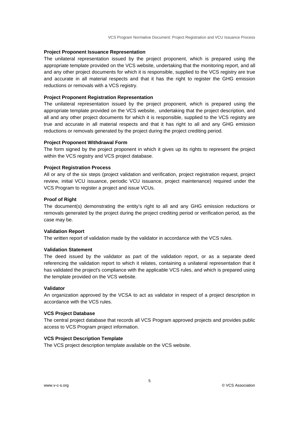## **Project Proponent Issuance Representation**

The unilateral representation issued by the project proponent, which is prepared using the appropriate template provided on the VCS website, undertaking that the monitoring report, and all and any other project documents for which it is responsible, supplied to the VCS registry are true and accurate in all material respects and that it has the right to register the GHG emission reductions or removals with a VCS registry.

## **Project Proponent Registration Representation**

The unilateral representation issued by the project proponent, which is prepared using the appropriate template provided on the VCS website, undertaking that the project description, and all and any other project documents for which it is responsible, supplied to the VCS registry are true and accurate in all material respects and that it has right to all and any GHG emission reductions or removals generated by the project during the project crediting period.

#### **Project Proponent Withdrawal Form**

The form signed by the project proponent in which it gives up its rights to represent the project within the VCS registry and VCS project database.

## **Project Registration Process**

All or any of the six steps (project validation and verification, project registration request, project review, initial VCU issuance, periodic VCU issuance, project maintenance) required under the VCS Program to register a project and issue VCUs.

#### **Proof of Right**

The document(s) demonstrating the entity's right to all and any GHG emission reductions or removals generated by the project during the project crediting period or verification period, as the case may be.

#### **Validation Report**

The written report of validation made by the validator in accordance with the VCS rules.

## **Validation Statement**

The deed issued by the validator as part of the validation report, or as a separate deed referencing the validation report to which it relates, containing a unilateral representation that it has validated the project's compliance with the applicable VCS rules, and which is prepared using the template provided on the VCS website.

## **Validator**

An organization approved by the VCSA to act as validator in respect of a project description in accordance with the VCS rules.

#### **VCS Project Database**

The central project database that records all VCS Program approved projects and provides public access to VCS Program project information.

## **VCS Project Description Template**

The VCS project description template available on the VCS website.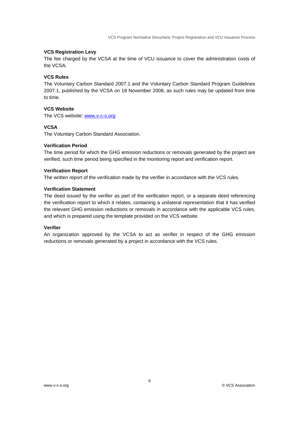## **VCS Registration Levy**

The fee charged by the VCSA at the time of VCU issuance to cover the administration costs of the VCSA.

### **VCS Rules**

The Voluntary Carbon Standard 2007.1 and the Voluntary Carbon Standard Program Guidelines 2007.1, published by the VCSA on 18 November 2008, as such rules may be updated from time to time.

## **VCS Website**

The VCS website: www.v-c-s.org

#### **VCSA**

The Voluntary Carbon Standard Association.

#### **Verification Period**

The time period for which the GHG emission reductions or removals generated by the project are verified, such time period being specified in the monitoring report and verification report.

#### **Verification Report**

The written report of the verification made by the verifier in accordance with the VCS rules.

## **Verification Statement**

The deed issued by the verifier as part of the verification report, or a separate deed referencing the verification report to which it relates, containing a unilateral representation that it has verified the relevant GHG emission reductions or removals in accordance with the applicable VCS rules, and which is prepared using the template provided on the VCS website.

## **Verifier**

An organization approved by the VCSA to act as verifier in respect of the GHG emission reductions or removals generated by a project in accordance with the VCS rules.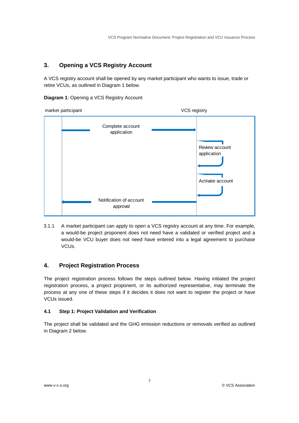## **3. Opening a VCS Registry Account**

A VCS registry account shall be opened by any market participant who wants to issue, trade or retire VCUs, as outlined in Diagram 1 below.

**Diagram 1**: Opening a VCS Registry Account



3.1.1 A market participant can apply to open a VCS registry account at any time. For example, a would-be project proponent does not need have a validated or verified project and a would-be VCU buyer does not need have entered into a legal agreement to purchase VCUs.

## **4. Project Registration Process**

The project registration process follows the steps outlined below. Having initiated the project registration process, a project proponent, or its authorized representative, may terminate the process at any one of these steps if it decides it does not want to register the project or have VCUs issued.

## **4.1 Step 1: Project Validation and Verification**

The project shall be validated and the GHG emission reductions or removals verified as outlined in Diagram 2 below.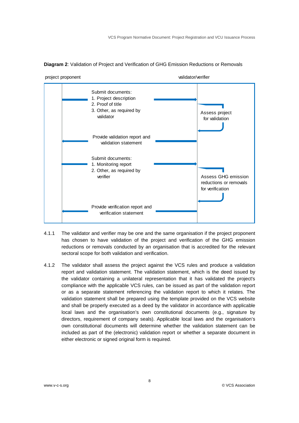

**Diagram 2**: Validation of Project and Verification of GHG Emission Reductions or Removals

- 4.1.1 The validator and verifier may be one and the same organisation if the project proponent has chosen to have validation of the project and verification of the GHG emission reductions or removals conducted by an organisation that is accredited for the relevant sectoral scope for both validation and verification.
- 4.1.2 The validator shall assess the project against the VCS rules and produce a validation report and validation statement. The validation statement, which is the deed issued by the validator containing a unilateral representation that it has validated the project's compliance with the applicable VCS rules, can be issued as part of the validation report or as a separate statement referencing the validation report to which it relates. The validation statement shall be prepared using the template provided on the VCS website and shall be properly executed as a deed by the validator in accordance with applicable local laws and the organisation's own constitutional documents (e.g., signature by directors, requirement of company seals). Applicable local laws and the organisation's own constitutional documents will determine whether the validation statement can be included as part of the (electronic) validation report or whether a separate document in either electronic or signed original form is required.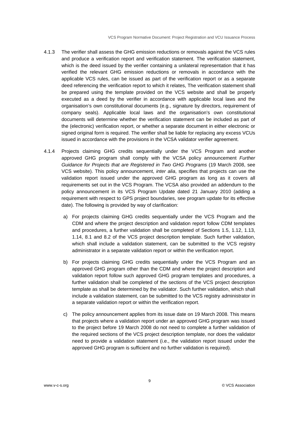- 4.1.3 The verifier shall assess the GHG emission reductions or removals against the VCS rules and produce a verification report and verification statement. The verification statement, which is the deed issued by the verifier containing a unilateral representation that it has verified the relevant GHG emission reductions or removals in accordance with the applicable VCS rules, can be issued as part of the verification report or as a separate deed referencing the verification report to which it relates, The verification statement shall be prepared using the template provided on the VCS website and shall be properly executed as a deed by the verifier in accordance with applicable local laws and the organisation's own constitutional documents (e.g., signature by directors, requirement of company seals). Applicable local laws and the organisation's own constitutional documents will determine whether the verification statement can be included as part of the (electronic) verification report, or whether a separate document in either electronic or signed original form is required. The verifier shall be liable for replacing any excess VCUs issued in accordance with the provisions in the VCSA validator verifier agreement.
- 4.1.4 Projects claiming GHG credits sequentially under the VCS Program and another approved GHG program shall comply with the VCSA policy announcement *Further Guidance for Projects that are Registered in Two GHG Programs* (19 March 2008, see VCS website). This policy announcement, *inter alia*, specifies that projects can use the validation report issued under the approved GHG program as long as it covers all requirements set out in the VCS Program. The VCSA also provided an addendum to the policy announcement in its VCS Program Update dated 21 January 2010 (adding a requirement with respect to GPS project boundaries, see program update for its effective date). The following is provided by way of clarification:
	- a) For projects claiming GHG credits sequentially under the VCS Program and the CDM and where the project description and validation report follow CDM templates and procedures, a further validation shall be completed of Sections 1.5, 1.12, 1.13, 1.14, 8.1 and 8.2 of the VCS project description template. Such further validation, which shall include a validation statement, can be submitted to the VCS registry administrator in a separate validation report or within the verification report.
	- b) For projects claiming GHG credits sequentially under the VCS Program and an approved GHG program other than the CDM and where the project description and validation report follow such approved GHG program templates and procedures, a further validation shall be completed of the sections of the VCS project description template as shall be determined by the validator. Such further validation, which shall include a validation statement, can be submitted to the VCS registry administrator in a separate validation report or within the verification report.
	- c) The policy announcement applies from its issue date on 19 March 2008. This means that projects where a validation report under an approved GHG program was issued to the project before 19 March 2008 do not need to complete a further validation of the required sections of the VCS project description template, nor does the validator need to provide a validation statement (i.e., the validation report issued under the approved GHG program is sufficient and no further validation is required).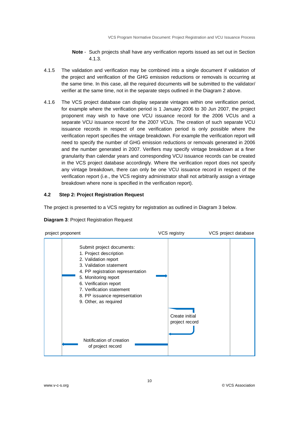## **Note** - Such projects shall have any verification reports issued as set out in Section 4.1.3.

- 4.1.5 The validation and verification may be combined into a single document if validation of the project and verification of the GHG emission reductions or removals is occurring at the same time. In this case, all the required documents will be submitted to the validator/ verifier at the same time, not in the separate steps outlined in the Diagram 2 above.
- 4.1.6 The VCS project database can display separate vintages within one verification period, for example where the verification period is 1 January 2006 to 30 Jun 2007, the project proponent may wish to have one VCU issuance record for the 2006 VCUs and a separate VCU issuance record for the 2007 VCUs. The creation of such separate VCU issuance records in respect of one verification period is only possible where the verification report specifies the vintage breakdown. For example the verification report will need to specify the number of GHG emission reductions or removals generated in 2006 and the number generated in 2007. Verifiers may specify vintage breakdown at a finer granularity than calendar years and corresponding VCU issuance records can be created in the VCS project database accordingly. Where the verification report does not specify any vintage breakdown, there can only be one VCU issuance record in respect of the verification report (i.e., the VCS registry administrator shall not arbitrarily assign a vintage breakdown where none is specified in the verification report).

## **4.2 Step 2: Project Registration Request**

The project is presented to a VCS registry for registration as outlined in Diagram 3 below.



## **Diagram 3: Project Registration Request**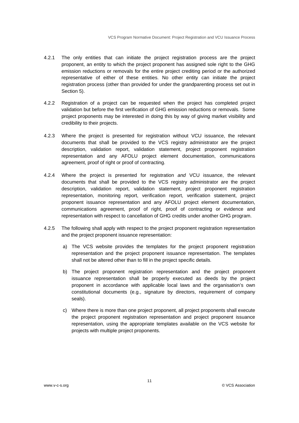- 4.2.1 The only entities that can initiate the project registration process are the project proponent, an entity to which the project proponent has assigned sole right to the GHG emission reductions or removals for the entire project crediting period or the authorized representative of either of these entities. No other entity can initiate the project registration process (other than provided for under the grandparenting process set out in Section 5).
- 4.2.2 Registration of a project can be requested when the project has completed project validation but before the first verification of GHG emission reductions or removals. Some project proponents may be interested in doing this by way of giving market visibility and credibility to their projects.
- 4.2.3 Where the project is presented for registration without VCU issuance, the relevant documents that shall be provided to the VCS registry administrator are the project description, validation report, validation statement, project proponent registration representation and any AFOLU project element documentation, communications agreement, proof of right or proof of contracting.
- 4.2.4 Where the project is presented for registration *and* VCU issuance, the relevant documents that shall be provided to the VCS registry administrator are the project description, validation report, validation statement, project proponent registration representation, monitoring report, verification report, verification statement, project proponent issuance representation and any AFOLU project element documentation, communications agreement, proof of right, proof of contracting or evidence and representation with respect to cancellation of GHG credits under another GHG program.
- 4.2.5 The following shall apply with respect to the project proponent registration representation and the project proponent issuance representation:
	- a) The VCS website provides the templates for the project proponent registration representation and the project proponent issuance representation. The templates shall not be altered other than to fill in the project specific details.
	- b) The project proponent registration representation and the project proponent issuance representation shall be properly executed as deeds by the project proponent in accordance with applicable local laws and the organisation's own constitutional documents (e.g., signature by directors, requirement of company seals).
	- c) Where there is more than one project proponent, all project proponents shall execute the project proponent registration representation and project proponent issuance representation, using the appropriate templates available on the VCS website for projects with multiple project proponents.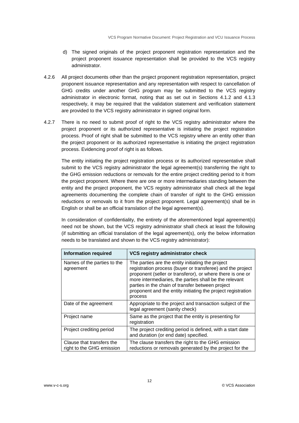- d) The signed originals of the project proponent registration representation and the project proponent issuance representation shall be provided to the VCS registry administrator.
- 4.2.6 All project documents other than the project proponent registration representation, project proponent issuance representation and any representation with respect to cancellation of GHG credits under another GHG program may be submitted to the VCS registry administrator in electronic format, noting that as set out in Sections 4.1.2 and 4.1.3 respectively, it may be required that the validation statement and verification statement are provided to the VCS registry administrator in signed original form.
- 4.2.7 There is no need to submit proof of right to the VCS registry administrator where the project proponent or its authorized representative is initiating the project registration process. Proof of right shall be submitted to the VCS registry where an entity other than the project proponent or its authorized representative is initiating the project registration process. Evidencing proof of right is as follows.

The entity initiating the project registration process or its authorized representative shall submit to the VCS registry administrator the legal agreement(s) transferring the right to the GHG emission reductions or removals for the entire project crediting period to it from the project proponent. Where there are one or more intermediaries standing between the entity and the project proponent, the VCS registry administrator shall check all the legal agreements documenting the complete chain of transfer of right to the GHG emission reductions or removals to it from the project proponent. Legal agreement(s) shall be in English or shall be an official translation of the legal agreement(s).

In consideration of confidentiality, the entirety of the aforementioned legal agreement(s) need not be shown, but the VCS registry administrator shall check at least the following (if submitting an official translation of the legal agreement(s), only the below information needs to be translated and shown to the VCS registry administrator):

| <b>Information required</b>                            | VCS registry administrator check                                                                                                                                                                                                                                                                                                                                       |
|--------------------------------------------------------|------------------------------------------------------------------------------------------------------------------------------------------------------------------------------------------------------------------------------------------------------------------------------------------------------------------------------------------------------------------------|
| Names of the parties to the<br>agreement               | The parties are the entity initiating the project<br>registration process (buyer or transferee) and the project<br>proponent (seller or transferor), or where there is one or<br>more intermediaries, the parties shall be the relevant<br>parties in the chain of transfer between project<br>proponent and the entity initiating the project registration<br>process |
| Date of the agreement                                  | Appropriate to the project and transaction subject of the<br>legal agreement (sanity check)                                                                                                                                                                                                                                                                            |
| Project name                                           | Same as the project that the entity is presenting for<br>registration                                                                                                                                                                                                                                                                                                  |
| Project crediting period                               | The project crediting period is defined, with a start date<br>and duration (or end date) specified.                                                                                                                                                                                                                                                                    |
| Clause that transfers the<br>right to the GHG emission | The clause transfers the right to the GHG emission<br>reductions or removals generated by the project for the                                                                                                                                                                                                                                                          |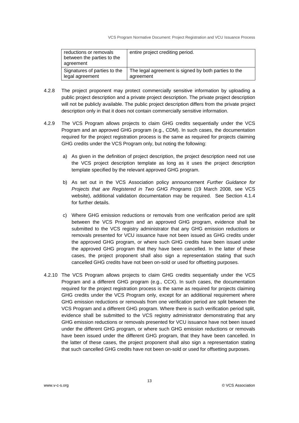| reductions or removals<br>between the parties to the<br>agreement | entire project crediting period.                     |
|-------------------------------------------------------------------|------------------------------------------------------|
| Signatures of parties to the                                      | The legal agreement is signed by both parties to the |
| legal agreement                                                   | agreement                                            |

- 4.2.8 The project proponent may protect commercially sensitive information by uploading a public project description and a private project description. The private project description will not be publicly available. The public project description differs from the private project description only in that it does not contain commercially sensitive information.
- 4.2.9 The VCS Program allows projects to claim GHG credits sequentially under the VCS Program and an approved GHG program (e.g., CDM). In such cases, the documentation required for the project registration process is the same as required for projects claiming GHG credits under the VCS Program only, but noting the following:
	- a) As given in the definition of project description, the project description need not use the VCS project description template as long as it uses the project description template specified by the relevant approved GHG program.
	- b) As set out in the VCS Association policy announcement *Further Guidance for Projects that are Registered in Two GHG Programs* (19 March 2008, see VCS website), additional validation documentation may be required. See Section 4.1.4 for further details.
	- c) Where GHG emission reductions or removals from one verification period are split between the VCS Program and an approved GHG program, evidence shall be submitted to the VCS registry administrator that any GHG emission reductions or removals presented for VCU issuance have not been issued as GHG credits under the approved GHG program, or where such GHG credits have been issued under the approved GHG program that they have been cancelled. In the latter of these cases, the project proponent shall also sign a representation stating that such cancelled GHG credits have not been on-sold or used for offsetting purposes.
- 4.2.10 The VCS Program allows projects to claim GHG credits sequentially under the VCS Program and a different GHG program (e.g., CCX). In such cases, the documentation required for the project registration process is the same as required for projects claiming GHG credits under the VCS Program only, except for an additional requirement where GHG emission reductions or removals from one verification period are split between the VCS Program and a different GHG program. Where there is such verification period split, evidence shall be submitted to the VCS registry administrator demonstrating that any GHG emission reductions or removals presented for VCU issuance have not been issued under the different GHG program, or where such GHG emission reductions or removals have been issued under the different GHG program, that they have been cancelled. In the latter of these cases, the project proponent shall also sign a representation stating that such cancelled GHG credits have not been on-sold or used for offsetting purposes.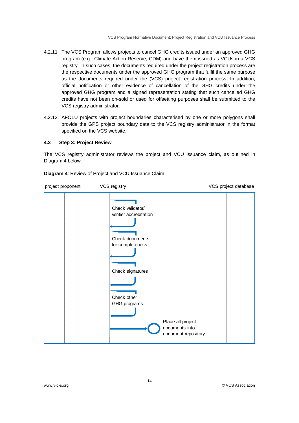- 4.2.11 The VCS Program allows projects to cancel GHG credits issued under an approved GHG program (e.g., Climate Action Reserve, CDM) and have them issued as VCUs in a VCS registry. In such cases, the documents required under the project registration process are the respective documents under the approved GHG program that fulfil the same purpose as the documents required under the (VCS) project registration process. In addition, official notification or other evidence of cancellation of the GHG credits under the approved GHG program and a signed representation stating that such cancelled GHG credits have not been on-sold or used for offsetting purposes shall be submitted to the VCS registry administrator.
- 4.2.12 AFOLU projects with project boundaries characterised by one or more polygons shall provide the GPS project boundary data to the VCS registry administrator in the format specified on the VCS website.

## **4.3 Step 3: Project Review**

The VCS registry administrator reviews the project and VCU issuance claim, as outlined in Diagram 4 below.

**Diagram 4**: Review of Project and VCU Issuance Claim

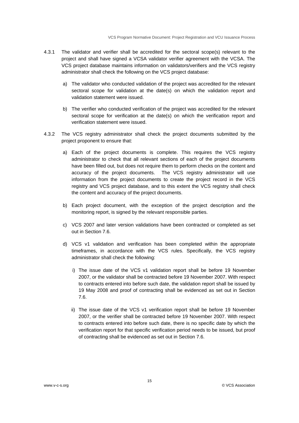- 4.3.1 The validator and verifier shall be accredited for the sectoral scope(s) relevant to the project and shall have signed a VCSA validator verifier agreement with the VCSA. The VCS project database maintains information on validators/verifiers and the VCS registry administrator shall check the following on the VCS project database:
	- a) The validator who conducted validation of the project was accredited for the relevant sectoral scope for validation at the date(s) on which the validation report and validation statement were issued.
	- b) The verifier who conducted verification of the project was accredited for the relevant sectoral scope for verification at the date(s) on which the verification report and verification statement were issued.
- 4.3.2 The VCS registry administrator shall check the project documents submitted by the project proponent to ensure that:
	- a) Each of the project documents is complete. This requires the VCS registry administrator to check that all relevant sections of each of the project documents have been filled out, but does not require them to perform checks on the content and accuracy of the project documents. The VCS registry administrator will use information from the project documents to create the project record in the VCS registry and VCS project database, and to this extent the VCS registry shall check the content and accuracy of the project documents.
	- b) Each project document, with the exception of the project description and the monitoring report, is signed by the relevant responsible parties.
	- c) VCS 2007 and later version validations have been contracted or completed as set out in Section 7.6.
	- d) VCS v1 validation and verification has been completed within the appropriate timeframes, in accordance with the VCS rules. Specifically, the VCS registry administrator shall check the following:
		- i) The issue date of the VCS v1 validation report shall be before 19 November 2007, or the validator shall be contracted before 19 November 2007. With respect to contracts entered into before such date, the validation report shall be issued by 19 May 2008 and proof of contracting shall be evidenced as set out in Section 7.6.
		- ii) The issue date of the VCS v1 verification report shall be before 19 November 2007, or the verifier shall be contracted before 19 November 2007. With respect to contracts entered into before such date, there is no specific date by which the verification report for that specific verification period needs to be issued, but proof of contracting shall be evidenced as set out in Section 7.6.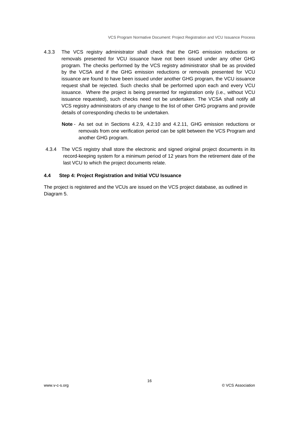- 4.3.3 The VCS registry administrator shall check that the GHG emission reductions or removals presented for VCU issuance have not been issued under any other GHG program. The checks performed by the VCS registry administrator shall be as provided by the VCSA and if the GHG emission reductions or removals presented for VCU issuance are found to have been issued under another GHG program, the VCU issuance request shall be rejected. Such checks shall be performed upon each and every VCU issuance. Where the project is being presented for registration only (i.e., without VCU issuance requested), such checks need not be undertaken. The VCSA shall notify all VCS registry administrators of any change to the list of other GHG programs and provide details of corresponding checks to be undertaken.
	- **Note** As set out in Sections 4.2.9, 4.2.10 and 4.2.11, GHG emission reductions or removals from one verification period can be split between the VCS Program and another GHG program.
- 4.3.4 The VCS registry shall store the electronic and signed original project documents in its record-keeping system for a minimum period of 12 years from the retirement date of the last VCU to which the project documents relate.

### **4.4 Step 4: Project Registration and Initial VCU Issuance**

The project is registered and the VCUs are issued on the VCS project database, as outlined in Diagram 5.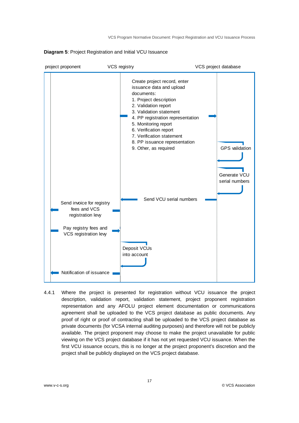

## **Diagram 5**: Project Registration and Initial VCU Issuance

4.4.1 Where the project is presented for registration without VCU issuance the project description, validation report, validation statement, project proponent registration representation and any AFOLU project element documentation or communications agreement shall be uploaded to the VCS project database as public documents. Any proof of right or proof of contracting shall be uploaded to the VCS project database as private documents (for VCSA internal auditing purposes) and therefore will not be publicly available. The project proponent may choose to make the project unavailable for public viewing on the VCS project database if it has not yet requested VCU issuance. When the first VCU issuance occurs, this is no longer at the project proponent's discretion and the project shall be publicly displayed on the VCS project database.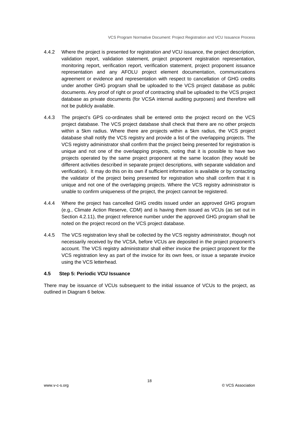- 4.4.2 Where the project is presented for registration *and* VCU issuance, the project description, validation report, validation statement, project proponent registration representation, monitoring report, verification report, verification statement, project proponent issuance representation and any AFOLU project element documentation, communications agreement or evidence and representation with respect to cancellation of GHG credits under another GHG program shall be uploaded to the VCS project database as public documents. Any proof of right or proof of contracting shall be uploaded to the VCS project database as private documents (for VCSA internal auditing purposes) and therefore will not be publicly available.
- 4.4.3 The project's GPS co-ordinates shall be entered onto the project record on the VCS project database. The VCS project database shall check that there are no other projects within a 5km radius. Where there are projects within a 5km radius, the VCS project database shall notify the VCS registry and provide a list of the overlapping projects. The VCS registry administrator shall confirm that the project being presented for registration is unique and not one of the overlapping projects, noting that it is possible to have two projects operated by the same project proponent at the same location (they would be different activities described in separate project descriptions, with separate validation and verification). It may do this on its own if sufficient information is available or by contacting the validator of the project being presented for registration who shall confirm that it is unique and not one of the overlapping projects. Where the VCS registry administrator is unable to confirm uniqueness of the project, the project cannot be registered.
- 4.4.4 Where the project has cancelled GHG credits issued under an approved GHG program (e.g., Climate Action Reserve, CDM) and is having them issued as VCUs (as set out in Section 4.2.11), the project reference number under the approved GHG program shall be noted on the project record on the VCS project database.
- 4.4.5 The VCS registration levy shall be collected by the VCS registry administrator, though not necessarily received by the VCSA, before VCUs are deposited in the project proponent's account. The VCS registry administrator shall either invoice the project proponent for the VCS registration levy as part of the invoice for its own fees, or issue a separate invoice using the VCS letterhead.

## **4.5 Step 5: Periodic VCU Issuance**

There may be issuance of VCUs subsequent to the initial issuance of VCUs to the project, as outlined in Diagram 6 below.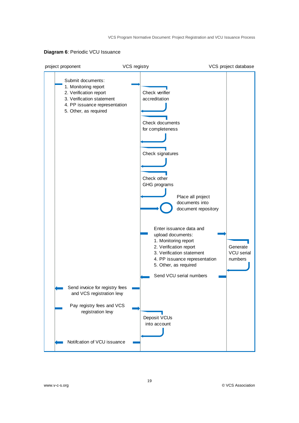## **Diagram 6**: Periodic VCU Issuance

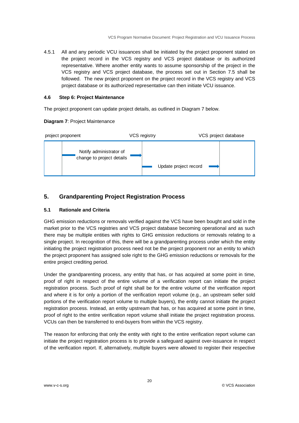4.5.1 All and any periodic VCU issuances shall be initiated by the project proponent stated on the project record in the VCS registry and VCS project database or its authorized representative. Where another entity wants to assume sponsorship of the project in the VCS registry and VCS project database, the process set out in Section 7.5 shall be followed. The new project proponent on the project record in the VCS registry and VCS project database or its authorized representative can then initiate VCU issuance.

## **4.6 Step 6: Project Maintenance**

The project proponent can update project details, as outlined in Diagram 7 below.

## Update project record project proponent VCS registry VCS project database Notify administrator of change to project details

## **Diagram 7**: Project Maintenance

## **5. Grandparenting Project Registration Process**

## **5.1 Rationale and Criteria**

GHG emission reductions or removals verified against the VCS have been bought and sold in the market prior to the VCS registries and VCS project database becoming operational and as such there may be multiple entities with rights to GHG emission reductions or removals relating to a single project. In recognition of this, there will be a grandparenting process under which the entity initiating the project registration process need not be the project proponent nor an entity to which the project proponent has assigned sole right to the GHG emission reductions or removals for the entire project crediting period.

Under the grandparenting process, any entity that has, or has acquired at some point in time, proof of right in respect of the entire volume of a verification report can initiate the project registration process. Such proof of right shall be for the entire volume of the verification report and where it is for only a portion of the verification report volume (e.g., an upstream seller sold portions of the verification report volume to multiple buyers), the entity cannot initiate the project registration process. Instead, an entity upstream that has, or has acquired at some point in time, proof of right to the entire verification report volume shall initiate the project registration process. VCUs can then be transferred to end-buyers from within the VCS registry.

The reason for enforcing that only the entity with right to the entire verification report volume can initiate the project registration process is to provide a safeguard against over-issuance in respect of the verification report. If, alternatively, multiple buyers were allowed to register their respective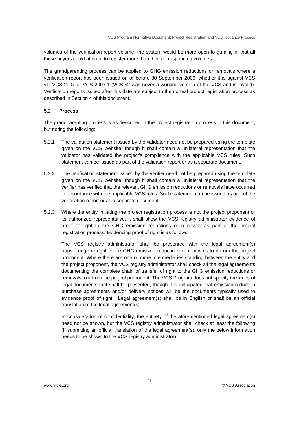volumes of the verification report volume, the system would be more open to gaming in that all those buyers could attempt to register more than their corresponding volumes.

The grandparenting process can be applied to GHG emission reductions or removals where a verification report has been issued on or before 30 September 2009, whether it is against VCS v1, VCS 2007 or VCS 2007.1 (VCS v2 was never a working version of the VCS and is invalid). Verification reports issued after this date are subject to the normal project registration process as described in Section 4 of this document.

## **5.2 Process**

The grandparenting process is as described in the project registration process in this document, but noting the following:

- 5.2.1 The validation statement issued by the validator need not be prepared using the template given on the VCS website, though it shall contain a unilateral representation that the validator has validated the project's compliance with the applicable VCS rules. Such statement can be issued as part of the validation report or as a separate document.
- 5.2.2 The verification statement issued by the verifier need not be prepared using the template given on the VCS website, though it shall contain a unilateral representation that the verifier has verified that the relevant GHG emission reductions or removals have occurred in accordance with the applicable VCS rules. Such statement can be issued as part of the verification report or as a separate document.
- 5.2.3 Where the entity initiating the project registration process is not the project proponent or its authorized representative, it shall show the VCS registry administrator evidence of proof of right to the GHG emission reductions or removals as part of the project registration process. Evidencing proof of right is as follows.

The VCS registry administrator shall be presented with the legal agreement(s) transferring the right to the GHG emission reductions or removals to it from the project proponent. Where there are one or more intermediaries standing between the entity and the project proponent, the VCS registry administrator shall check all the legal agreements documenting the complete chain of transfer of right to the GHG emission reductions or removals to it from the project proponent. The VCS Program does not specify the kinds of legal documents that shall be presented, though it is anticipated that emission reduction purchase agreements and/or delivery notices will be the documents typically used to evidence proof of right. Legal agreement(s) shall be in English or shall be an official translation of the legal agreement(s).

In consideration of confidentiality, the entirety of the aforementioned legal agreement(s) need not be shown, but the VCS registry administrator shall check at least the following (if submitting an official translation of the legal agreement(s), only the below information needs to be shown to the VCS registry administrator):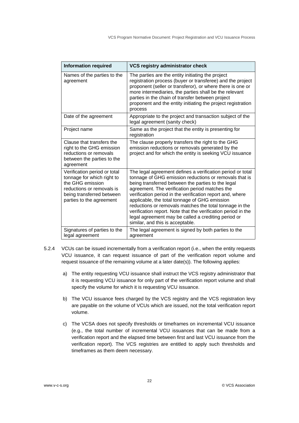| <b>Information required</b>                                                                                                                                          | VCS registry administrator check                                                                                                                                                                                                                                                                                                                                                                                                                                                                                                                                  |
|----------------------------------------------------------------------------------------------------------------------------------------------------------------------|-------------------------------------------------------------------------------------------------------------------------------------------------------------------------------------------------------------------------------------------------------------------------------------------------------------------------------------------------------------------------------------------------------------------------------------------------------------------------------------------------------------------------------------------------------------------|
| Names of the parties to the<br>agreement                                                                                                                             | The parties are the entity initiating the project<br>registration process (buyer or transferee) and the project<br>proponent (seller or transferor), or where there is one or<br>more intermediaries, the parties shall be the relevant<br>parties in the chain of transfer between project<br>proponent and the entity initiating the project registration<br>process                                                                                                                                                                                            |
| Date of the agreement                                                                                                                                                | Appropriate to the project and transaction subject of the<br>legal agreement (sanity check)                                                                                                                                                                                                                                                                                                                                                                                                                                                                       |
| Project name                                                                                                                                                         | Same as the project that the entity is presenting for<br>registration                                                                                                                                                                                                                                                                                                                                                                                                                                                                                             |
| Clause that transfers the<br>right to the GHG emission<br>reductions or removals<br>between the parties to the<br>agreement                                          | The clause properly transfers the right to the GHG<br>emission reductions or removals generated by the<br>project and for which the entity is seeking VCU issuance                                                                                                                                                                                                                                                                                                                                                                                                |
| Verification period or total<br>tonnage for which right to<br>the GHG emission<br>reductions or removals is<br>being transferred between<br>parties to the agreement | The legal agreement defines a verification period or total<br>tonnage of GHG emission reductions or removals that is<br>being transferred between the parties to the legal<br>agreement. The verification period matches the<br>verification period in the verification report and, where<br>applicable, the total tonnage of GHG emission<br>reductions or removals matches the total tonnage in the<br>verification report. Note that the verification period in the<br>legal agreement may be called a crediting period or<br>similar, and this is acceptable. |
| Signatures of parties to the<br>legal agreement                                                                                                                      | The legal agreement is signed by both parties to the<br>agreement                                                                                                                                                                                                                                                                                                                                                                                                                                                                                                 |

- 5.2.4 VCUs can be issued incrementally from a verification report (i.e., when the entity requests VCU issuance, it can request issuance of part of the verification report volume and request issuance of the remaining volume at a later date(s)). The following applies:
	- a) The entity requesting VCU issuance shall instruct the VCS registry administrator that it is requesting VCU issuance for only part of the verification report volume and shall specify the volume for which it is requesting VCU issuance.
	- b) The VCU issuance fees charged by the VCS registry and the VCS registration levy are payable on the volume of VCUs which are issued, not the total verification report volume.
	- c) The VCSA does not specify thresholds or timeframes on incremental VCU issuance (e.g., the total number of incremental VCU issuances that can be made from a verification report and the elapsed time between first and last VCU issuance from the verification report). The VCS registries are entitled to apply such thresholds and timeframes as them deem necessary.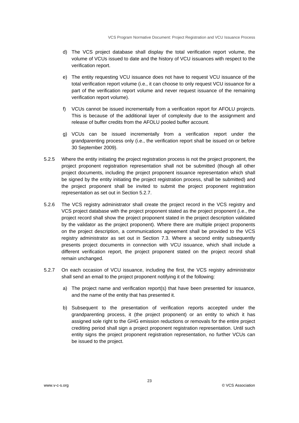- d) The VCS project database shall display the total verification report volume, the volume of VCUs issued to date and the history of VCU issuances with respect to the verification report.
- e) The entity requesting VCU issuance does not have to request VCU issuance of the total verification report volume (i.e., it can choose to only request VCU issuance for a part of the verification report volume and never request issuance of the remaining verification report volume).
- f) VCUs cannot be issued incrementally from a verification report for AFOLU projects. This is because of the additional layer of complexity due to the assignment and release of buffer credits from the AFOLU pooled buffer account.
- g) VCUs can be issued incrementally from a verification report under the grandparenting process only (i.e., the verification report shall be issued on or before 30 September 2009).
- 5.2.5 Where the entity initiating the project registration process is not the project proponent, the project proponent registration representation shall not be submitted (though all other project documents, including the project proponent issuance representation which shall be signed by the entity initiating the project registration process, shall be submitted) and the project proponent shall be invited to submit the project proponent registration representation as set out in Section 5.2.7.
- 5.2.6 The VCS registry administrator shall create the project record in the VCS registry and VCS project database with the project proponent stated as the project proponent (i.e., the project record shall show the project proponent stated in the project description validated by the validator as the project proponent). Where there are multiple project proponents on the project description, a communications agreement shall be provided to the VCS registry administrator as set out in Section 7.3. Where a second entity subsequently presents project documents in connection with VCU issuance, which shall include a different verification report, the project proponent stated on the project record shall remain unchanged.
- 5.2.7 On each occasion of VCU issuance, including the first, the VCS registry administrator shall send an email to the project proponent notifying it of the following:
	- a) The project name and verification report(s) that have been presented for issuance, and the name of the entity that has presented it.
	- b) Subsequent to the presentation of verification reports accepted under the grandparenting process, it (the project proponent) or an entity to which it has assigned sole right to the GHG emission reductions or removals for the entire project crediting period shall sign a project proponent registration representation. Until such entity signs the project proponent registration representation, no further VCUs can be issued to the project.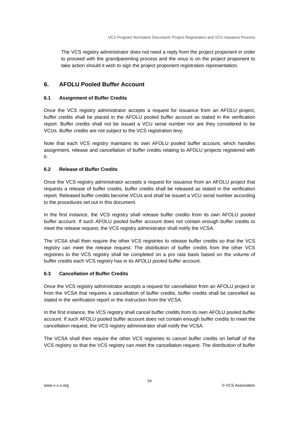The VCS registry administrator does not need a reply from the project proponent in order to proceed with the grandparenting process and the onus is on the project proponent to take action should it wish to sign the project proponent registration representation.

## **6. AFOLU Pooled Buffer Account**

## **6.1 Assignment of Buffer Credits**

Once the VCS registry administrator accepts a request for issuance from an AFOLU project, buffer credits shall be placed in the AFOLU pooled buffer account as stated in the verification report. Buffer credits shall not be issued a VCU serial number nor are they considered to be VCUs. Buffer credits are not subject to the VCS registration levy.

Note that each VCS registry maintains its own AFOLU pooled buffer account, which handles assignment, release and cancellation of buffer credits relating to AFOLU projects registered with it.

## **6.2 Release of Buffer Credits**

Once the VCS registry administrator accepts a request for issuance from an AFOLU project that requests a release of buffer credits, buffer credits shall be released as stated in the verification report. Released buffer credits become VCUs and shall be issued a VCU serial number according to the procedures set out in this document.

In the first instance, the VCS registry shall release buffer credits from its own AFOLU pooled buffer account. If such AFOLU pooled buffer account does not contain enough buffer credits to meet the release request, the VCS registry administrator shall notify the VCSA.

The VCSA shall then require the other VCS registries to release buffer credits so that the VCS registry can meet the release request. The distribution of buffer credits from the other VCS registries to the VCS registry shall be completed on a pro rata basis based on the volume of buffer credits each VCS registry has in its AFOLU pooled buffer account.

## **6.3 Cancellation of Buffer Credits**

Once the VCS registry administrator accepts a request for cancellation from an AFOLU project or from the VCSA that requires a cancellation of buffer credits, buffer credits shall be cancelled as stated in the verification report or the instruction from the VCSA.

In the first instance, the VCS registry shall cancel buffer credits from its own AFOLU pooled buffer account. If such AFOLU pooled buffer account does not contain enough buffer credits to meet the cancellation request, the VCS registry administrator shall notify the VCSA.

The VCSA shall then require the other VCS registries to cancel buffer credits on behalf of the VCS registry so that the VCS registry can meet the cancellation request. The distribution of buffer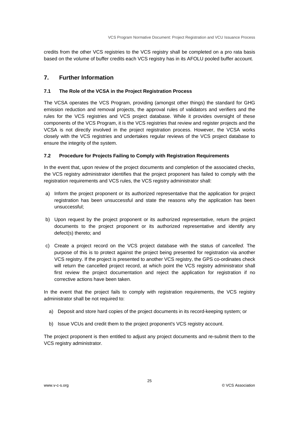credits from the other VCS registries to the VCS registry shall be completed on a pro rata basis based on the volume of buffer credits each VCS registry has in its AFOLU pooled buffer account.

## **7. Further Information**

## **7.1 The Role of the VCSA in the Project Registration Process**

The VCSA operates the VCS Program, providing (amongst other things) the standard for GHG emission reduction and removal projects, the approval rules of validators and verifiers and the rules for the VCS registries and VCS project database. While it provides oversight of these components of the VCS Program, it is the VCS registries that review and register projects and the VCSA is not directly involved in the project registration process. However, the VCSA works closely with the VCS registries and undertakes regular reviews of the VCS project database to ensure the integrity of the system.

## **7.2 Procedure for Projects Failing to Comply with Registration Requirements**

In the event that, upon review of the project documents and completion of the associated checks, the VCS registry administrator identifies that the project proponent has failed to comply with the registration requirements and VCS rules, the VCS registry administrator shall:

- a) Inform the project proponent or its authorized representative that the application for project registration has been unsuccessful and state the reasons why the application has been unsuccessful;
- b) Upon request by the project proponent or its authorized representative, return the project documents to the project proponent or its authorized representative and identify any defect(s) thereto; and
- c) Create a project record on the VCS project database with the status of *cancelled*. The purpose of this is to protect against the project being presented for registration via another VCS registry. If the project is presented to another VCS registry, the GPS co-ordinates check will return the cancelled project record, at which point the VCS registry administrator shall first review the project documentation and reject the application for registration if no corrective actions have been taken.

In the event that the project fails to comply with registration requirements, the VCS registry administrator shall be not required to:

- a) Deposit and store hard copies of the project documents in its record-keeping system; or
- b) Issue VCUs and credit them to the project proponent's VCS registry account.

The project proponent is then entitled to adjust any project documents and re-submit them to the VCS registry administrator.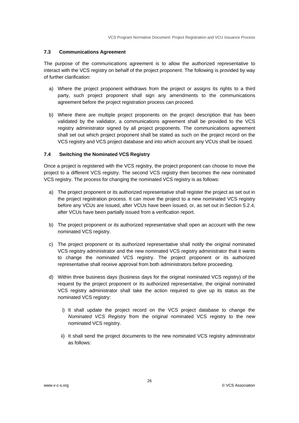## **7.3 Communications Agreement**

The purpose of the communications agreement is to allow the authorized representative to interact with the VCS registry on behalf of the project proponent. The following is provided by way of further clarification:

- a) Where the project proponent withdraws from the project or assigns its rights to a third party, such project proponent shall sign any amendments to the communications agreement before the project registration process can proceed.
- b) Where there are multiple project proponents on the project description that has been validated by the validator, a communications agreement shall be provided to the VCS registry administrator signed by all project proponents. The communications agreement shall set out which project proponent shall be stated as such on the project record on the VCS registry and VCS project database and into which account any VCUs shall be issued.

## **7.4 Switching the Nominated VCS Registry**

Once a project is registered with the VCS registry, the project proponent can choose to move the project to a different VCS registry. The second VCS registry then becomes the new nominated VCS registry. The process for changing the nominated VCS registry is as follows:

- a) The project proponent or its authorized representative shall register the project as set out in the project registration process. It can move the project to a new nominated VCS registry before any VCUs are issued, after VCUs have been issued, or, as set out in Section 5.2.4, after VCUs have been partially issued from a verification report.
- b) The project proponent or its authorized representative shall open an account with the new nominated VCS registry.
- c) The project proponent or its authorized representative shall notify the original nominated VCS registry administrator and the new nominated VCS registry administrator that it wants to change the nominated VCS registry. The project proponent or its authorized representative shall receive approval from both administrators before proceeding.
- d) Within three business days (business days for the original nominated VCS registry) of the request by the project proponent or its authorized representative, the original nominated VCS registry administrator shall take the action required to give up its status as the nominated VCS registry:
	- i) It shall update the project record on the VCS project database to change the *Nominated VCS Registry* from the original nominated VCS registry to the new nominated VCS registry.
	- ii) It shall send the project documents to the new nominated VCS registry administrator as follows: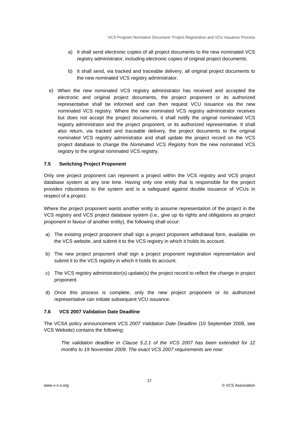- a) It shall send electronic copies of all project documents to the new nominated VCS registry administrator, including electronic copies of original project documents.
- b) It shall send, via tracked and traceable delivery, all original project documents to the new nominated VCS registry administrator.
- e) When the new nominated VCS registry administrator has received and accepted the electronic and original project documents, the project proponent or its authorized representative shall be informed and can then request VCU issuance via the new nominated VCS registry. Where the new nominated VCS registry administrator receives but does not accept the project documents, it shall notify the original nominated VCS registry administrator and the project proponent, or its authorized representative. It shall also return, via tracked and traceable delivery, the project documents to the original nominated VCS registry administrator and shall update the project record on the VCS project database to change the *Nominated VCS Registry* from the new nominated VCS registry to the original nominated VCS registry.

## **7.5 Switching Project Proponent**

Only one project proponent can represent a project within the VCS registry and VCS project database system at any one time. Having only one entity that is responsible for the project provides robustness to the system and is a safeguard against double issuance of VCUs in respect of a project.

Where the project proponent wants another entity to assume representation of the project in the VCS registry and VCS project database system (i.e., give up its rights and obligations as project proponent in favour of another entity), the following shall occur:

- a) The existing project proponent shall sign a project proponent withdrawal form, available on the VCS website, and submit it to the VCS registry in which it holds its account.
- b) The new project proponent shall sign a project proponent registration representation and submit it to the VCS registry in which it holds its account.
- c) The VCS registry administrator(s) update(s) the project record to reflect the change in project proponent.
- d) Once this process is complete, only the new project proponent or its authorized representative can initiate subsequent VCU issuance.

## **7.6 VCS 2007 Validation Date Deadline**

The VCSA policy announcement *VCS 2007 Validation Date Deadline* (10 September 2008, see VCS Website) contains the following:

*The validation deadline in Clause 5.2.1 of the VCS 2007 has been extended for 12 months to 19 November 2009. The exact VCS 2007 requirements are now:*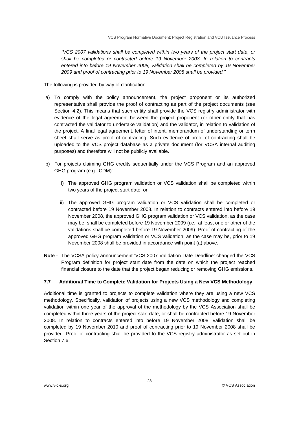*"VCS 2007 validations shall be completed within two years of the project start date, or shall be completed or contracted before 19 November 2008. In relation to contracts entered into before 19 November 2008, validation shall be completed by 19 November 2009 and proof of contracting prior to 19 November 2008 shall be provided."* 

The following is provided by way of clarification:

- a) To comply with the policy announcement, the project proponent or its authorized representative shall provide the proof of contracting as part of the project documents (see Section 4.2). This means that such entity shall provide the VCS registry administrator with evidence of the legal agreement between the project proponent (or other entity that has contracted the validator to undertake validation) and the validator, in relation to validation of the project. A final legal agreement, letter of intent, memorandum of understanding or term sheet shall serve as proof of contracting. Such evidence of proof of contracting shall be uploaded to the VCS project database as a private document (for VCSA internal auditing purposes) and therefore will not be publicly available.
- b) For projects claiming GHG credits sequentially under the VCS Program and an approved GHG program (e.g., CDM):
	- i) The approved GHG program validation or VCS validation shall be completed within two years of the project start date; or
	- ii) The approved GHG program validation or VCS validation shall be completed or contracted before 19 November 2008. In relation to contracts entered into before 19 November 2008, the approved GHG program validation or VCS validation, as the case may be, shall be completed before 19 November 2009 (i.e., at least one or other of the validations shall be completed before 19 November 2009). Proof of contracting of the approved GHG program validation or VCS validation, as the case may be, prior to 19 November 2008 shall be provided in accordance with point (a) above.
- **Note** The VCSA policy announcement 'VCS 2007 Validation Date Deadline' changed the VCS Program definition for project start date from the date on which the project reached financial closure to the date that the project began reducing or removing GHG emissions.

## **7.7 Additional Time to Complete Validation for Projects Using a New VCS Methodology**

Additional time is granted to projects to complete validation where they are using a new VCS methodology. Specifically, validation of projects using a new VCS methodology and completing validation within one year of the approval of the methodology by the VCS Association shall be completed within three years of the project start date, or shall be contracted before 19 November 2008. In relation to contracts entered into before 19 November 2008, validation shall be completed by 19 November 2010 and proof of contracting prior to 19 November 2008 shall be provided. Proof of contracting shall be provided to the VCS registry administrator as set out in Section 7.6.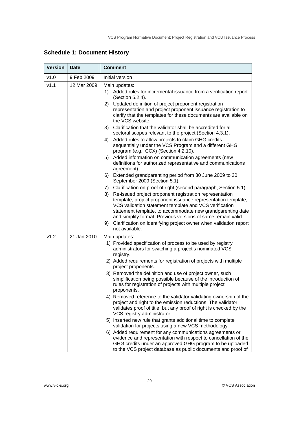| <b>Version</b> | <b>Date</b> | <b>Comment</b>                                                                                                                                                                                                                                                                                                                                                                                                      |
|----------------|-------------|---------------------------------------------------------------------------------------------------------------------------------------------------------------------------------------------------------------------------------------------------------------------------------------------------------------------------------------------------------------------------------------------------------------------|
| v1.0           | 9 Feb 2009  | Initial version                                                                                                                                                                                                                                                                                                                                                                                                     |
| v1.1           | 12 Mar 2009 | Main updates:<br>Added rules for incremental issuance from a verification report<br>1)<br>(Section 5.2.4).<br>Updated definition of project proponent registration<br>2)                                                                                                                                                                                                                                            |
|                |             | representation and project proponent issuance registration to<br>clarify that the templates for these documents are available on<br>the VCS website.                                                                                                                                                                                                                                                                |
|                |             | Clarification that the validator shall be accredited for all<br>3)<br>sectoral scopes relevant to the project (Section 4.3.1).                                                                                                                                                                                                                                                                                      |
|                |             | Added rules to allow projects to claim GHG credits<br>4)<br>sequentially under the VCS Program and a different GHG<br>program (e.g., CCX) (Section 4.2.10).                                                                                                                                                                                                                                                         |
|                |             | Added information on communication agreements (new<br>5)<br>definitions for authorized representative and communications<br>agreement).                                                                                                                                                                                                                                                                             |
|                |             | Extended grandparenting period from 30 June 2009 to 30<br>6)<br>September 2009 (Section 5.1).                                                                                                                                                                                                                                                                                                                       |
|                |             | Clarification on proof of right (second paragraph, Section 5.1).<br>7)                                                                                                                                                                                                                                                                                                                                              |
|                |             | Re-issued project proponent registration representation<br>8)<br>template, project proponent issuance representation template,<br>VCS validation statement template and VCS verification<br>statement template, to accommodate new grandparenting date<br>and simplify format. Previous versions of same remain valid.<br>Clarification on identifying project owner when validation report<br>9)<br>not available. |
| v1.2           | 21 Jan 2010 | Main updates:                                                                                                                                                                                                                                                                                                                                                                                                       |
|                |             | 1) Provided specification of process to be used by registry<br>administrators for switching a project's nominated VCS<br>registry.                                                                                                                                                                                                                                                                                  |
|                |             | 2) Added requirements for registration of projects with multiple<br>project proponents.                                                                                                                                                                                                                                                                                                                             |
|                |             | 3) Removed the definition and use of project owner, such<br>simplification being possible because of the introduction of<br>rules for registration of projects with multiple project<br>proponents.                                                                                                                                                                                                                 |
|                |             | 4) Removed reference to the validator validating ownership of the<br>project and right to the emission reductions. The validator<br>validates proof of title, but any proof of right is checked by the<br>VCS registry administrator.                                                                                                                                                                               |
|                |             | 5) Inserted new rule that grants additional time to complete<br>validation for projects using a new VCS methodology.                                                                                                                                                                                                                                                                                                |
|                |             | 6) Added requirement for any communications agreements or<br>evidence and representation with respect to cancellation of the<br>GHG credits under an approved GHG program to be uploaded<br>to the VCS project database as public documents and proof of                                                                                                                                                            |

## **Schedule 1: Document History**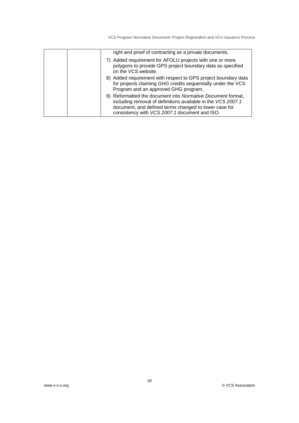|  | right and proof of contracting as a private documents.                                                                                                                                                                                |
|--|---------------------------------------------------------------------------------------------------------------------------------------------------------------------------------------------------------------------------------------|
|  | 7) Added requirement for AFOLU projects with one or more<br>polygons to provide GPS project boundary data as specified<br>on the VCS website.                                                                                         |
|  | 8) Added requirement with respect to GPS project boundary data<br>for projects claiming GHG credits sequentially under the VCS<br>Program and an approved GHG program.                                                                |
|  | 9) Reformatted the document into Normative Document format,<br>including removal of definitions available in the VCS 2007.1<br>document, and defined terms changed to lower case for<br>consistency with VCS 2007.1 document and ISO. |